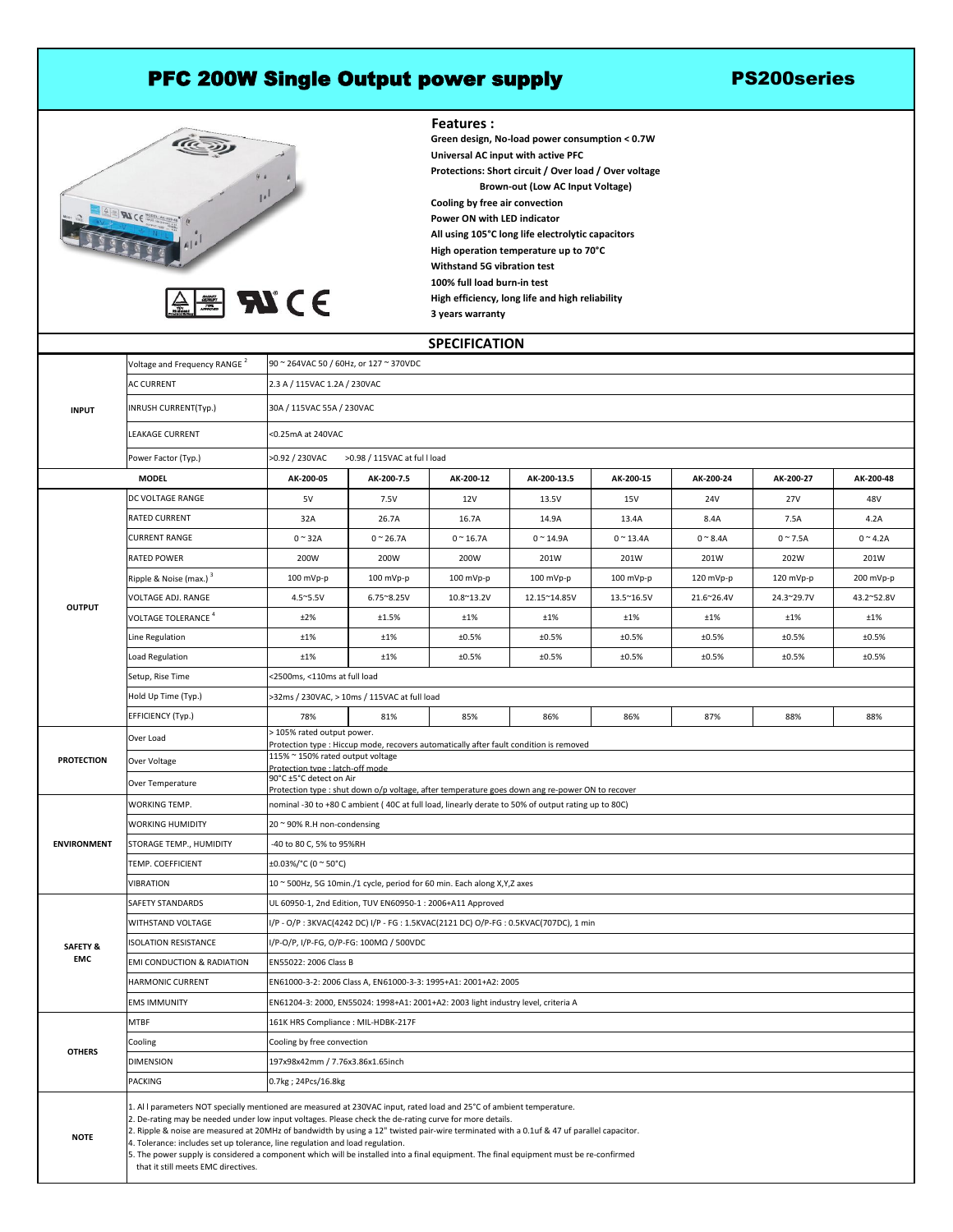## PFC 200W Single Output power supply The PS200series





**Features : Withstand 5G vibration test 100% full load burn-in test High efficiency, long life and high reliability All using 105°C long life electrolytic capacitors High operation temperature up to 70°C Green design, No-load power consumption < 0.7W Universal AC input with active PFC Protections: Short circuit / Over load / Over voltage Brown-out (Low AC Input Voltage) 3 years warranty Cooling by free air convection Power ON with LED indicator**

## **SPECIFICATION**

| <b>INPUT</b>                      | Voltage and Frequency RANGE <sup>2</sup>                                                                                                                                                                                                                                                                                                                                                                                                                                                                                                                                                                                                       | 90 ~ 264VAC 50 / 60Hz, or 127 ~ 370VDC                                                                                     |                     |                    |                 |                     |                     |                |                  |
|-----------------------------------|------------------------------------------------------------------------------------------------------------------------------------------------------------------------------------------------------------------------------------------------------------------------------------------------------------------------------------------------------------------------------------------------------------------------------------------------------------------------------------------------------------------------------------------------------------------------------------------------------------------------------------------------|----------------------------------------------------------------------------------------------------------------------------|---------------------|--------------------|-----------------|---------------------|---------------------|----------------|------------------|
|                                   | <b>AC CURRENT</b>                                                                                                                                                                                                                                                                                                                                                                                                                                                                                                                                                                                                                              | 2.3 A / 115VAC 1.2A / 230VAC                                                                                               |                     |                    |                 |                     |                     |                |                  |
|                                   | INRUSH CURRENT(Typ.)                                                                                                                                                                                                                                                                                                                                                                                                                                                                                                                                                                                                                           | 30A / 115VAC 55A / 230VAC                                                                                                  |                     |                    |                 |                     |                     |                |                  |
|                                   | <b>LEAKAGE CURRENT</b>                                                                                                                                                                                                                                                                                                                                                                                                                                                                                                                                                                                                                         | <0.25mA at 240VAC                                                                                                          |                     |                    |                 |                     |                     |                |                  |
|                                   | Power Factor (Typ.)                                                                                                                                                                                                                                                                                                                                                                                                                                                                                                                                                                                                                            | >0.92 / 230VAC<br>>0.98 / 115VAC at full load                                                                              |                     |                    |                 |                     |                     |                |                  |
| <b>MODEL</b>                      |                                                                                                                                                                                                                                                                                                                                                                                                                                                                                                                                                                                                                                                | AK-200-05                                                                                                                  | AK-200-7.5          | AK-200-12          | AK-200-13.5     | AK-200-15           | AK-200-24           | AK-200-27      | AK-200-48        |
| <b>OUTPUT</b>                     | <b>DC VOLTAGE RANGE</b>                                                                                                                                                                                                                                                                                                                                                                                                                                                                                                                                                                                                                        | 5V                                                                                                                         | 7.5V                | 12V                | 13.5V           | 15V                 | 24V                 | 27V            | 48V              |
|                                   | <b>RATED CURRENT</b>                                                                                                                                                                                                                                                                                                                                                                                                                                                                                                                                                                                                                           | 32A                                                                                                                        | 26.7A               | 16.7A              | 14.9A           | 13.4A               | 8.4A                | 7.5A           | 4.2A             |
|                                   | <b>CURRENT RANGE</b>                                                                                                                                                                                                                                                                                                                                                                                                                                                                                                                                                                                                                           | $0 \sim 32A$                                                                                                               | $0 \sim 26.7$ A     | $0 \approx 16.7$ A | $0 \sim 14.9$ A | $0 \sim 13.4$ A     | $0 \approx 8.4$ A   | $0 \sim 7.5$ A | $0 \approx 4.2A$ |
|                                   | <b>RATED POWER</b>                                                                                                                                                                                                                                                                                                                                                                                                                                                                                                                                                                                                                             | 200W                                                                                                                       | 200W                | 200W               | 201W            | 201W                | 201W                | 202W           | 201W             |
|                                   | Ripple & Noise (max.) $3$                                                                                                                                                                                                                                                                                                                                                                                                                                                                                                                                                                                                                      | $100$ mVp-p                                                                                                                | $100$ mVp-p         | 100 mVp-p          | $100$ mVp-p     | $100 \text{ mVp-p}$ | $120 \text{ mVp-p}$ | $120$ mVp-p    | $200$ mVp-p      |
|                                   | <b>VOLTAGE ADJ. RANGE</b>                                                                                                                                                                                                                                                                                                                                                                                                                                                                                                                                                                                                                      | $4.5^{\circ}5.5V$                                                                                                          | $6.75^{\circ}8.25V$ | 10.8~13.2V         | 12.15~14.85V    | 13.5~16.5V          | 21.6~26.4V          | 24.3~29.7V     | 43.2~52.8V       |
|                                   | VOLTAGE TOLERANCE <sup>4</sup>                                                                                                                                                                                                                                                                                                                                                                                                                                                                                                                                                                                                                 | ±2%                                                                                                                        | ±1.5%               | ±1%                | ±1%             | ±1%                 | ±1%                 | ±1%            | ±1%              |
|                                   | Line Regulation                                                                                                                                                                                                                                                                                                                                                                                                                                                                                                                                                                                                                                | ±1%                                                                                                                        | ±1%                 | ±0.5%              | ±0.5%           | ±0.5%               | ±0.5%               | ±0.5%          | ±0.5%            |
|                                   | Load Regulation                                                                                                                                                                                                                                                                                                                                                                                                                                                                                                                                                                                                                                | ±1%                                                                                                                        | ±1%                 | ±0.5%              | ±0.5%           | ±0.5%               | ±0.5%               | ±0.5%          | ±0.5%            |
|                                   | Setup, Rise Time                                                                                                                                                                                                                                                                                                                                                                                                                                                                                                                                                                                                                               | <2500ms, <110ms at full load                                                                                               |                     |                    |                 |                     |                     |                |                  |
|                                   | Hold Up Time (Typ.)                                                                                                                                                                                                                                                                                                                                                                                                                                                                                                                                                                                                                            | >32ms / 230VAC, > 10ms / 115VAC at full load                                                                               |                     |                    |                 |                     |                     |                |                  |
|                                   | <b>EFFICIENCY (Typ.)</b>                                                                                                                                                                                                                                                                                                                                                                                                                                                                                                                                                                                                                       | 78%                                                                                                                        | 81%                 | 85%                | 86%             | 86%                 | 87%                 | 88%            | 88%              |
| <b>PROTECTION</b>                 | Over Load                                                                                                                                                                                                                                                                                                                                                                                                                                                                                                                                                                                                                                      | > 105% rated output power.<br>Protection type : Hiccup mode, recovers automatically after fault condition is removed       |                     |                    |                 |                     |                     |                |                  |
|                                   | Over Voltage                                                                                                                                                                                                                                                                                                                                                                                                                                                                                                                                                                                                                                   | 115% ~ 150% rated output voltage<br>Protection type : latch-off mode                                                       |                     |                    |                 |                     |                     |                |                  |
|                                   | Over Temperature                                                                                                                                                                                                                                                                                                                                                                                                                                                                                                                                                                                                                               | 90°C ±5°C detect on Air<br>Protection type : shut down o/p voltage, after temperature goes down ang re-power ON to recover |                     |                    |                 |                     |                     |                |                  |
| <b>ENVIRONMENT</b>                | <b>WORKING TEMP.</b>                                                                                                                                                                                                                                                                                                                                                                                                                                                                                                                                                                                                                           | nominal -30 to +80 C ambient (40C at full load, linearly derate to 50% of output rating up to 80C)                         |                     |                    |                 |                     |                     |                |                  |
|                                   | <b>WORKING HUMIDITY</b>                                                                                                                                                                                                                                                                                                                                                                                                                                                                                                                                                                                                                        | 20 ~ 90% R.H non-condensing                                                                                                |                     |                    |                 |                     |                     |                |                  |
|                                   | STORAGE TEMP., HUMIDITY                                                                                                                                                                                                                                                                                                                                                                                                                                                                                                                                                                                                                        | -40 to 80 C, 5% to 95%RH                                                                                                   |                     |                    |                 |                     |                     |                |                  |
|                                   | TEMP. COEFFICIENT                                                                                                                                                                                                                                                                                                                                                                                                                                                                                                                                                                                                                              | $\pm 0.03\%/^{\circ}C$ (0 $^{\sim}$ 50 $^{\circ}C$ )                                                                       |                     |                    |                 |                     |                     |                |                  |
|                                   | <b>VIBRATION</b>                                                                                                                                                                                                                                                                                                                                                                                                                                                                                                                                                                                                                               | $10 \approx 500$ Hz, 5G 10min./1 cycle, period for 60 min. Each along X,Y,Z axes                                           |                     |                    |                 |                     |                     |                |                  |
| <b>SAFETY &amp;</b><br><b>EMC</b> | <b>SAFETY STANDARDS</b>                                                                                                                                                                                                                                                                                                                                                                                                                                                                                                                                                                                                                        | UL 60950-1, 2nd Edition, TUV EN60950-1 : 2006+A11 Approved                                                                 |                     |                    |                 |                     |                     |                |                  |
|                                   | <b>WITHSTAND VOLTAGE</b>                                                                                                                                                                                                                                                                                                                                                                                                                                                                                                                                                                                                                       | I/P - O/P: 3KVAC(4242 DC) I/P - FG: 1.5KVAC(2121 DC) O/P-FG: 0.5KVAC(707DC), 1 min                                         |                     |                    |                 |                     |                     |                |                  |
|                                   | <b>ISOLATION RESISTANCE</b>                                                                                                                                                                                                                                                                                                                                                                                                                                                                                                                                                                                                                    | I/P-O/P, I/P-FG, O/P-FG: 100ΜΩ / 500VDC                                                                                    |                     |                    |                 |                     |                     |                |                  |
|                                   | <b>EMI CONDUCTION &amp; RADIATION</b>                                                                                                                                                                                                                                                                                                                                                                                                                                                                                                                                                                                                          | EN55022: 2006 Class B                                                                                                      |                     |                    |                 |                     |                     |                |                  |
|                                   | <b>HARMONIC CURRENT</b>                                                                                                                                                                                                                                                                                                                                                                                                                                                                                                                                                                                                                        | EN61000-3-2: 2006 Class A, EN61000-3-3: 1995+A1: 2001+A2: 2005                                                             |                     |                    |                 |                     |                     |                |                  |
|                                   | <b>EMS IMMUNITY</b>                                                                                                                                                                                                                                                                                                                                                                                                                                                                                                                                                                                                                            | EN61204-3: 2000, EN55024: 1998+A1: 2001+A2: 2003 light industry level, criteria A                                          |                     |                    |                 |                     |                     |                |                  |
| <b>OTHERS</b>                     | <b>MTBF</b>                                                                                                                                                                                                                                                                                                                                                                                                                                                                                                                                                                                                                                    | 161K HRS Compliance: MIL-HDBK-217F                                                                                         |                     |                    |                 |                     |                     |                |                  |
|                                   | Cooling                                                                                                                                                                                                                                                                                                                                                                                                                                                                                                                                                                                                                                        | Cooling by free convection                                                                                                 |                     |                    |                 |                     |                     |                |                  |
|                                   | <b>DIMENSION</b>                                                                                                                                                                                                                                                                                                                                                                                                                                                                                                                                                                                                                               | 197x98x42mm / 7.76x3.86x1.65inch                                                                                           |                     |                    |                 |                     |                     |                |                  |
|                                   | <b>PACKING</b>                                                                                                                                                                                                                                                                                                                                                                                                                                                                                                                                                                                                                                 | 0.7kg; 24Pcs/16.8kg                                                                                                        |                     |                    |                 |                     |                     |                |                  |
| <b>NOTE</b>                       | 1. Al I parameters NOT specially mentioned are measured at 230VAC input, rated load and 25°C of ambient temperature.<br>2. De-rating may be needed under low input voltages. Please check the de-rating curve for more details.<br>2. Ripple & noise are measured at 20MHz of bandwidth by using a 12" twisted pair-wire terminated with a 0.1uf & 47 uf parallel capacitor.<br>4. Tolerance: includes set up tolerance, line regulation and load regulation.<br>5. The power supply is considered a component which will be installed into a final equipment. The final equipment must be re-confirmed<br>that it still meets EMC directives. |                                                                                                                            |                     |                    |                 |                     |                     |                |                  |